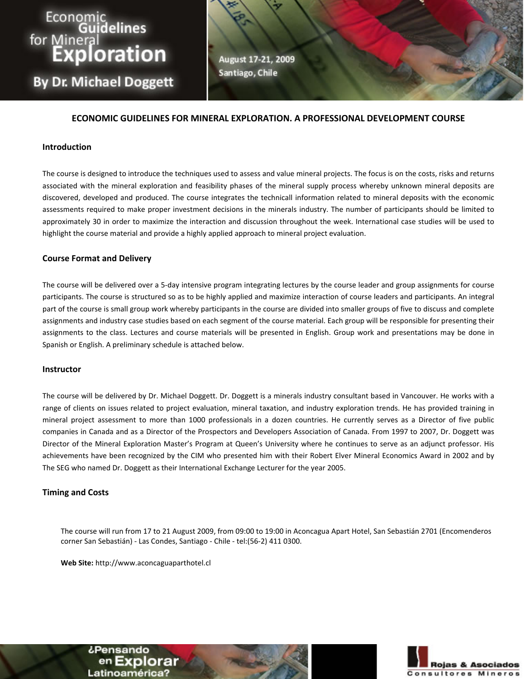# Economic<br>Guidelines<br>for Mineral<br>Exploration

**By Dr. Michael Doggett** 

August 17-21, 2009 Santiago, Chile

# **ECONOMIC GUIDELINES FOR MINERAL EXPLORATION. A PROFESSIONAL DEVELOPMENT COURSE**

## **Introduction**

The course is designed to introduce the techniques used to assess and value mineral projects. The focus is on the costs, risks and returns associated with the mineral exploration and feasibility phases of the mineral supply process whereby unknown mineral deposits are discovered, developed and produced. The course integrates the technicall information related to mineral deposits with the economic assessments required to make proper investment decisions in the minerals industry. The number of participants should be limited to approximately 30 in order to maximize the interaction and discussion throughout the week. International case studies will be used to highlight the course material and provide a highly applied approach to mineral project evaluation.

## **Course Format and Delivery**

The course will be delivered over a 5‐day intensive program integrating lectures by the course leader and group assignments for course participants. The course is structured so as to be highly applied and maximize interaction of course leaders and participants. An integral part of the course is small group work whereby participants in the course are divided into smaller groups of five to discuss and complete assignments and industry case studies based on each segment of the course material. Each group will be responsible for presenting their assignments to the class. Lectures and course materials will be presented in English. Group work and presentations may be done in Spanish or English. A preliminary schedule is attached below.

### **Instructor**

The course will be delivered by Dr. Michael Doggett. Dr. Doggett is a minerals industry consultant based in Vancouver. He works with a range of clients on issues related to project evaluation, mineral taxation, and industry exploration trends. He has provided training in mineral project assessment to more than 1000 professionals in a dozen countries. He currently serves as a Director of five public companies in Canada and as a Director of the Prospectors and Developers Association of Canada. From 1997 to 2007, Dr. Doggett was Director of the Mineral Exploration Master's Program at Queen's University where he continues to serve as an adjunct professor. His achievements have been recognized by the CIM who presented him with their Robert Elver Mineral Economics Award in 2002 and by The SEG who named Dr. Doggett as their International Exchange Lecturer for the year 2005.

### **Timing and Costs**

The course will run from 17 to 21 August 2009, from 09:00 to 19:00 in Aconcagua Apart Hotel, San Sebastián 2701 (Encomenderos corner San Sebastián) ‐ Las Condes, Santiago ‐ Chile ‐ tel:(56‐2) 411 0300.

**Web Site:** http://www.aconcaguaparthotel.cl